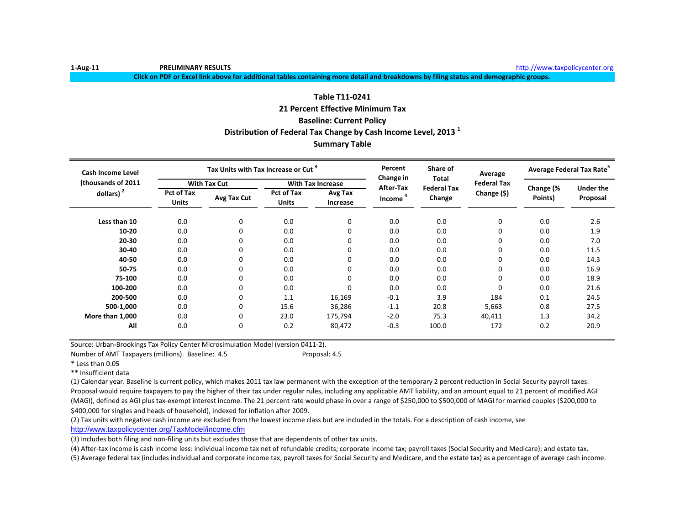**Click on PDF or Excel link above for additional tables containing more detail and breakdowns by filing status and demographic groups.**

# **Baseline: Current Policy Distribution of Federal Tax Change by Cash Income Level, 2013 <sup>1</sup> Table T11-0241 21 Percent Effective Minimum Tax Summary Table**

| <b>Cash Income Level</b> |                            | Tax Units with Tax Increase or Cut <sup>3</sup> |                            |                          | Percent<br>Change in | Share of<br>Total            | Average            | Average Federal Tax Rate <sup>5</sup> |                  |  |
|--------------------------|----------------------------|-------------------------------------------------|----------------------------|--------------------------|----------------------|------------------------------|--------------------|---------------------------------------|------------------|--|
| (thousands of 2011       |                            | <b>With Tax Cut</b>                             |                            | <b>With Tax Increase</b> | After-Tax            |                              | <b>Federal Tax</b> |                                       | <b>Under the</b> |  |
| dollars) $2$             | Pct of Tax<br><b>Units</b> | Avg Tax Cut                                     | Pct of Tax<br><b>Units</b> | Avg Tax<br>Increase      | Income <sup>4</sup>  | <b>Federal Tax</b><br>Change | Change $(5)$       | Change (%<br>Points)                  | Proposal         |  |
| Less than 10             | 0.0                        | 0                                               | 0.0                        | 0                        | 0.0                  | 0.0                          | 0                  | 0.0                                   | 2.6              |  |
| $10 - 20$                | 0.0                        | 0                                               | 0.0                        | 0                        | 0.0                  | 0.0                          |                    | 0.0                                   | 1.9              |  |
| 20-30                    | 0.0                        | 0                                               | 0.0                        | 0                        | 0.0                  | 0.0                          |                    | 0.0                                   | 7.0              |  |
| 30-40                    | 0.0                        | 0                                               | 0.0                        | 0                        | 0.0                  | 0.0                          |                    | 0.0                                   | 11.5             |  |
| 40-50                    | 0.0                        | $\Omega$                                        | 0.0                        | 0                        | 0.0                  | 0.0                          |                    | 0.0                                   | 14.3             |  |
| 50-75                    | 0.0                        | $\Omega$                                        | 0.0                        | 0                        | 0.0                  | 0.0                          |                    | 0.0                                   | 16.9             |  |
| 75-100                   | 0.0                        | 0                                               | 0.0                        | 0                        | 0.0                  | 0.0                          |                    | 0.0                                   | 18.9             |  |
| 100-200                  | 0.0                        | 0                                               | 0.0                        | 0                        | 0.0                  | 0.0                          |                    | 0.0                                   | 21.6             |  |
| 200-500                  | 0.0                        | 0                                               | 1.1                        | 16,169                   | $-0.1$               | 3.9                          | 184                | 0.1                                   | 24.5             |  |
| 500-1,000                | 0.0                        | $\Omega$                                        | 15.6                       | 36,286                   | $-1.1$               | 20.8                         | 5,663              | 0.8                                   | 27.5             |  |
| More than 1,000          | 0.0                        | $\Omega$                                        | 23.0                       | 175,794                  | $-2.0$               | 75.3                         | 40,411             | 1.3                                   | 34.2             |  |
| All                      | 0.0                        | 0                                               | 0.2                        | 80,472                   | $-0.3$               | 100.0                        | 172                | 0.2                                   | 20.9             |  |

Source: Urban-Brookings Tax Policy Center Microsimulation Model (version 0411-2).

Number of AMT Taxpayers (millions). Baseline: 4.5 Proposal: 4.5

\* Less than 0.05

\*\* Insufficient data

(1) Calendar year. Baseline is current policy, which makes 2011 tax law permanent with the exception of the temporary 2 percent reduction in Social Security payroll taxes. Proposal would require taxpayers to pay the higher of their tax under regular rules, including any applicable AMT liability, and an amount equal to 21 percent of modified AGI (MAGI), defined as AGI plus tax-exempt interest income. The 21 percent rate would phase in over a range of \$250,000 to \$500,000 of MAGI for married couples (\$200,000 to \$400,000 for singles and heads of household), indexed for inflation after 2009.

(2) Tax units with negative cash income are excluded from the lowest income class but are included in the totals. For a description of cash income, see

[http://www.taxpolicycente](http://www.taxpolicycenter.org/TaxModel/income.cfm)r.org/TaxModel/income.cfm

(3) Includes both filing and non-filing units but excludes those that are dependents of other tax units.

(4) After-tax income is cash income less: individual income tax net of refundable credits; corporate income tax; payroll taxes (Social Security and Medicare); and estate tax.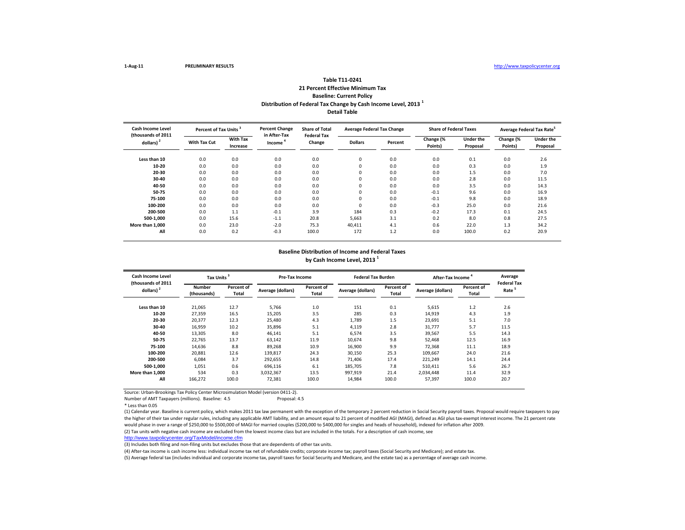### **Distribution of Federal Tax Change by Cash Income Level, 2013 <sup>1</sup> Detail Table Table T11-0241 21 Percent Effective Minimum Tax Baseline: Current Policy**

| <b>Cash Income Level</b><br>(thousands of 2011 | Percent of Tax Units <sup>3</sup> |                             | <b>Percent Change</b><br>in After-Tax | <b>Share of Total</b><br><b>Federal Tax</b> | <b>Average Federal Tax Change</b> |         | <b>Share of Federal Taxes</b> |                              | Average Federal Tax Rate <sup>5</sup> |                              |
|------------------------------------------------|-----------------------------------|-----------------------------|---------------------------------------|---------------------------------------------|-----------------------------------|---------|-------------------------------|------------------------------|---------------------------------------|------------------------------|
| dollars) <sup>2</sup>                          | <b>With Tax Cut</b>               | <b>With Tax</b><br>Increase | Income <sup>4</sup>                   | Change                                      | <b>Dollars</b>                    | Percent | Change (%<br>Points)          | <b>Under the</b><br>Proposal | Change (%<br>Points)                  | <b>Under the</b><br>Proposal |
| Less than 10                                   | 0.0                               | 0.0                         | 0.0                                   | 0.0                                         | 0                                 | 0.0     | 0.0                           | 0.1                          | 0.0                                   | 2.6                          |
| 10-20                                          | 0.0                               | 0.0                         | 0.0                                   | 0.0                                         | 0                                 | 0.0     | 0.0                           | 0.3                          | 0.0                                   | 1.9                          |
| 20-30                                          | 0.0                               | 0.0                         | 0.0                                   | 0.0                                         | 0                                 | 0.0     | 0.0                           | 1.5                          | 0.0                                   | 7.0                          |
| 30-40                                          | 0.0                               | 0.0                         | 0.0                                   | 0.0                                         | 0                                 | 0.0     | 0.0                           | 2.8                          | 0.0                                   | 11.5                         |
| 40-50                                          | 0.0                               | 0.0                         | 0.0                                   | 0.0                                         | 0                                 | 0.0     | 0.0                           | 3.5                          | 0.0                                   | 14.3                         |
| 50-75                                          | 0.0                               | 0.0                         | 0.0                                   | 0.0                                         | 0                                 | 0.0     | $-0.1$                        | 9.6                          | 0.0                                   | 16.9                         |
| 75-100                                         | 0.0                               | 0.0                         | 0.0                                   | 0.0                                         | 0                                 | 0.0     | $-0.1$                        | 9.8                          | 0.0                                   | 18.9                         |
| 100-200                                        | 0.0                               | 0.0                         | 0.0                                   | 0.0                                         | 0                                 | 0.0     | $-0.3$                        | 25.0                         | 0.0                                   | 21.6                         |
| 200-500                                        | 0.0                               | 1.1                         | $-0.1$                                | 3.9                                         | 184                               | 0.3     | $-0.2$                        | 17.3                         | 0.1                                   | 24.5                         |
| 500-1,000                                      | 0.0                               | 15.6                        | $-1.1$                                | 20.8                                        | 5,663                             | 3.1     | 0.2                           | 8.0                          | 0.8                                   | 27.5                         |
| More than 1.000                                | 0.0                               | 23.0                        | $-2.0$                                | 75.3                                        | 40.411                            | 4.1     | 0.6                           | 22.0                         | 1.3                                   | 34.2                         |
| All                                            | 0.0                               | 0.2                         | $-0.3$                                | 100.0                                       | 172                               | 1.2     | 0.0                           | 100.0                        | 0.2                                   | 20.9                         |

#### **Baseline Distribution of Income and Federal Taxes by Cash Income Level, 2013 <sup>1</sup>**

| Cash Income Level<br>(thousands of 2011 | Tax Units <sup>3</sup>       |                     | <b>Pre-Tax Income</b> |                     | <b>Federal Tax Burden</b> |                     | After-Tax Income <sup>4</sup> |                            | Average<br><b>Federal Tax</b> |
|-----------------------------------------|------------------------------|---------------------|-----------------------|---------------------|---------------------------|---------------------|-------------------------------|----------------------------|-------------------------------|
| dollars)                                | <b>Number</b><br>(thousands) | Percent of<br>Total | Average (dollars)     | Percent of<br>Total | Average (dollars)         | Percent of<br>Total | Average (dollars)             | <b>Percent of</b><br>Total | Rate <sup>5</sup>             |
| Less than 10                            | 21,065                       | 12.7                | 5,766                 | 1.0                 | 151                       | 0.1                 | 5,615                         | 1.2                        | 2.6                           |
| 10-20                                   | 27,359                       | 16.5                | 15,205                | 3.5                 | 285                       | 0.3                 | 14,919                        | 4.3                        | 1.9                           |
| 20-30                                   | 20.377                       | 12.3                | 25.480                | 4.3                 | 1,789                     | 1.5                 | 23,691                        | 5.1                        | 7.0                           |
| 30-40                                   | 16,959                       | 10.2                | 35,896                | 5.1                 | 4,119                     | 2.8                 | 31,777                        | 5.7                        | 11.5                          |
| 40-50                                   | 13,305                       | 8.0                 | 46,141                | 5.1                 | 6,574                     | 3.5                 | 39,567                        | 5.5                        | 14.3                          |
| 50-75                                   | 22.765                       | 13.7                | 63,142                | 11.9                | 10,674                    | 9.8                 | 52,468                        | 12.5                       | 16.9                          |
| 75-100                                  | 14,636                       | 8.8                 | 89,268                | 10.9                | 16,900                    | 9.9                 | 72,368                        | 11.1                       | 18.9                          |
| 100-200                                 | 20,881                       | 12.6                | 139,817               | 24.3                | 30,150                    | 25.3                | 109,667                       | 24.0                       | 21.6                          |
| 200-500                                 | 6.084                        | 3.7                 | 292,655               | 14.8                | 71,406                    | 17.4                | 221,249                       | 14.1                       | 24.4                          |
| 500-1.000                               | 1,051                        | 0.6                 | 696,116               | 6.1                 | 185,705                   | 7.8                 | 510.411                       | 5.6                        | 26.7                          |
| More than 1.000                         | 534                          | 0.3                 | 3,032,367             | 13.5                | 997,919                   | 21.4                | 2.034.448                     | 11.4                       | 32.9                          |
| All                                     | 166,272                      | 100.0               | 72,381                | 100.0               | 14,984                    | 100.0               | 57,397                        | 100.0                      | 20.7                          |

Source: Urban-Brookings Tax Policy Center Microsimulation Model (version 0411-2). Number of AMT Taxpayers (millions). Baseline: 4.5

\* Less than 0.05

(1) Calendar year. Baseline is current policy, which makes 2011 tax law permanent with the exception of the temporary 2 percent reduction in Social Security payroll taxes. Proposal would require taxpayers to pay the higher of their tax under regular rules, including any applicable AMT liability, and an amount equal to 21 percent of modified AGI (MAGI), defined as AGI plus tax-exempt interest income. The 21 percent rate would phase in over a range of \$250,000 to \$500,000 of MAGI for married couples (\$200,000 to \$400,000 for singles and heads of household), indexed for inflation after 2009. (2) Tax units with negative cash income are excluded from the lowest income class but are included in the totals. For a description of cash income, see

[http://www.taxpolicycente](http://www.taxpolicycenter.org/TaxModel/income.cfm)r.org/TaxModel/income.cfm

(3) Includes both filing and non-filing units but excludes those that are dependents of other tax units.

(4) After-tax income is cash income less: individual income tax net of refundable credits; corporate income tax; payroll taxes (Social Security and Medicare); and estate tax.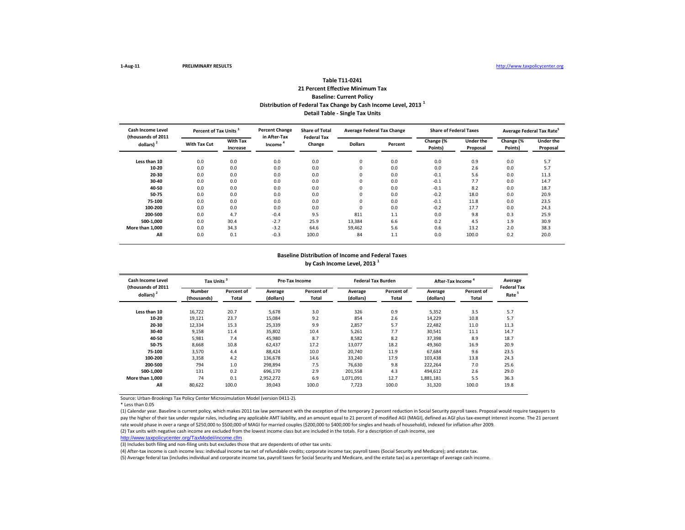# **Distribution of Federal Tax Change by Cash Income Level, 2013 <sup>1</sup> Detail Table - Single Tax Units Table T11-0241 21 Percent Effective Minimum Tax Baseline: Current Policy**

| <b>Cash Income Level</b><br>(thousands of 2011 | Percent of Tax Units <sup>3</sup> |                             | <b>Percent Change</b><br>in After-Tax | <b>Share of Total</b><br><b>Federal Tax</b> | <b>Average Federal Tax Change</b> |         | <b>Share of Federal Taxes</b> |                              |                      | Average Federal Tax Rate     |
|------------------------------------------------|-----------------------------------|-----------------------------|---------------------------------------|---------------------------------------------|-----------------------------------|---------|-------------------------------|------------------------------|----------------------|------------------------------|
| dollars) <sup>2</sup>                          | <b>With Tax Cut</b>               | <b>With Tax</b><br>Increase | Income                                | Change                                      | <b>Dollars</b>                    | Percent | Change (%<br>Points)          | <b>Under the</b><br>Proposal | Change (%<br>Points) | <b>Under the</b><br>Proposal |
| Less than 10                                   | 0.0                               | 0.0                         | 0.0                                   | 0.0                                         | 0                                 | 0.0     | 0.0                           | 0.9                          | 0.0                  | 5.7                          |
| 10-20                                          | 0.0                               | 0.0                         | 0.0                                   | 0.0                                         | 0                                 | 0.0     | 0.0                           | 2.6                          | 0.0                  | 5.7                          |
| 20-30                                          | 0.0                               | 0.0                         | 0.0                                   | 0.0                                         | 0                                 | 0.0     | $-0.1$                        | 5.6                          | 0.0                  | 11.3                         |
| 30-40                                          | 0.0                               | 0.0                         | 0.0                                   | 0.0                                         | 0                                 | 0.0     | $-0.1$                        | 7.7                          | 0.0                  | 14.7                         |
| 40-50                                          | 0.0                               | 0.0                         | 0.0                                   | 0.0                                         | 0                                 | 0.0     | $-0.1$                        | 8.2                          | 0.0                  | 18.7                         |
| 50-75                                          | 0.0                               | 0.0                         | 0.0                                   | 0.0                                         | 0                                 | 0.0     | $-0.2$                        | 18.0                         | 0.0                  | 20.9                         |
| 75-100                                         | 0.0                               | 0.0                         | 0.0                                   | 0.0                                         | 0                                 | 0.0     | $-0.1$                        | 11.8                         | 0.0                  | 23.5                         |
| 100-200                                        | 0.0                               | 0.0                         | 0.0                                   | 0.0                                         | 0                                 | 0.0     | $-0.2$                        | 17.7                         | 0.0                  | 24.3                         |
| 200-500                                        | 0.0                               | 4.7                         | $-0.4$                                | 9.5                                         | 811                               | 1.1     | 0.0                           | 9.8                          | 0.3                  | 25.9                         |
| 500-1.000                                      | 0.0                               | 30.4                        | $-2.7$                                | 25.9                                        | 13,384                            | 6.6     | 0.2                           | 4.5                          | 1.9                  | 30.9                         |
| More than 1,000                                | 0.0                               | 34.3                        | $-3.2$                                | 64.6                                        | 59,462                            | 5.6     | 0.6                           | 13.2                         | 2.0                  | 38.3                         |
| All                                            | 0.0                               | 0.1                         | $-0.3$                                | 100.0                                       | 84                                | 1.1     | 0.0                           | 100.0                        | 0.2                  | 20.0                         |

## **Baseline Distribution of Income and Federal Taxes by Cash Income Level, 2013 <sup>1</sup>**

| <b>Cash Income Level</b><br>(thousands of 2011 | Tax Units <sup>3</sup>       |                            | Pre-Tax Income       |                     | <b>Federal Tax Burden</b> |                     | After-Tax Income     | Average<br><b>Federal Tax</b> |                   |
|------------------------------------------------|------------------------------|----------------------------|----------------------|---------------------|---------------------------|---------------------|----------------------|-------------------------------|-------------------|
| dollars) $2$                                   | <b>Number</b><br>(thousands) | Percent of<br><b>Total</b> | Average<br>(dollars) | Percent of<br>Total | Average<br>(dollars)      | Percent of<br>Total | Average<br>(dollars) | Percent of<br>Total           | Rate <sup>5</sup> |
| Less than 10                                   | 16,722                       | 20.7                       | 5,678                | 3.0                 | 326                       | 0.9                 | 5,352                | 3.5                           | 5.7               |
| 10-20                                          | 19,121                       | 23.7                       | 15,084               | 9.2                 | 854                       | 2.6                 | 14,229               | 10.8                          | 5.7               |
| 20-30                                          | 12,334                       | 15.3                       | 25.339               | 9.9                 | 2.857                     | 5.7                 | 22.482               | 11.0                          | 11.3              |
| 30-40                                          | 9,158                        | 11.4                       | 35,802               | 10.4                | 5.261                     | 7.7                 | 30,541               | 11.1                          | 14.7              |
| 40-50                                          | 5.981                        | 7.4                        | 45.980               | 8.7                 | 8.582                     | 8.2                 | 37.398               | 8.9                           | 18.7              |
| 50-75                                          | 8,668                        | 10.8                       | 62,437               | 17.2                | 13,077                    | 18.2                | 49,360               | 16.9                          | 20.9              |
| 75-100                                         | 3,570                        | 4.4                        | 88.424               | 10.0                | 20.740                    | 11.9                | 67.684               | 9.6                           | 23.5              |
| 100-200                                        | 3,358                        | 4.2                        | 136,678              | 14.6                | 33,240                    | 17.9                | 103,438              | 13.8                          | 24.3              |
| 200-500                                        | 794                          | 1.0                        | 298.894              | 7.5                 | 76.630                    | 9.8                 | 222,264              | 7.0                           | 25.6              |
| 500-1.000                                      | 131                          | 0.2                        | 696,170              | 2.9                 | 201,558                   | 4.3                 | 494,612              | 2.6                           | 29.0              |
| More than 1.000                                | 74                           | 0.1                        | 2,952,272            | 6.9                 | 1,071,091                 | 12.7                | 1,881,181            | 5.5                           | 36.3              |
| All                                            | 80,622                       | 100.0                      | 39,043               | 100.0               | 7,723                     | 100.0               | 31,320               | 100.0                         | 19.8              |

Source: Urban-Brookings Tax Policy Center Microsimulation Model (version 0411-2).

\* Less than 0.05

(1) Calendar year. Baseline is current policy, which makes 2011 tax law permanent with the exception of the temporary 2 percent reduction in Social Security payroll taxes. Proposal would require taxpayers to pay the higher of their tax under regular rules, including any applicable AMT liability, and an amount equal to 21 percent of modified AGI (MAGI), defined as AGI plus tax-exempt interest income. The 21 percent rate would phase in over a range of \$250,000 to \$500,000 of MAGI for married couples (\$200,000 to \$400,000 for singles and heads of household), indexed for inflation after 2009. (2) Tax units with negative cash income are excluded from the lowest income class but are included in the totals. For a description of cash income, see

[http://www.taxpolicycente](http://www.taxpolicycenter.org/TaxModel/income.cfm)r.org/TaxModel/income.cfm

(3) Includes both filing and non-filing units but excludes those that are dependents of other tax units.

(4) After-tax income is cash income less: individual income tax net of refundable credits; corporate income tax; payroll taxes (Social Security and Medicare); and estate tax.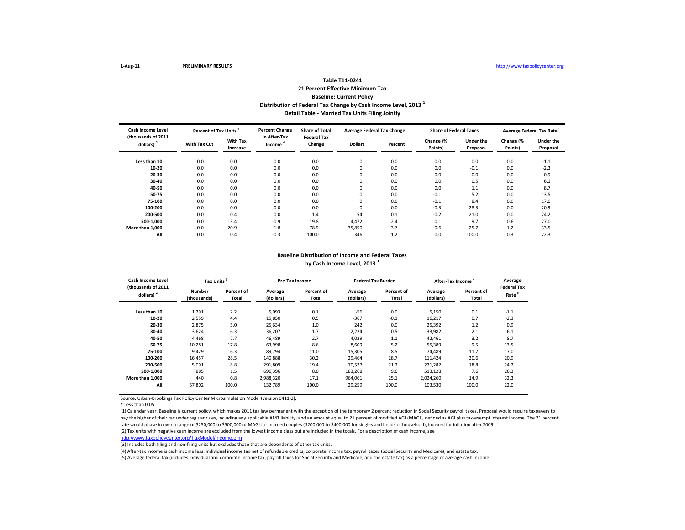# **Distribution of Federal Tax Change by Cash Income Level, 2013 <sup>1</sup> Detail Table - Married Tax Units Filing Jointly Table T11-0241 21 Percent Effective Minimum Tax Baseline: Current Policy**

| <b>Cash Income Level</b>           | Percent of Tax Units <sup>3</sup>                            |      | <b>Percent Change</b><br>in After-Tax | <b>Share of Total</b><br><b>Federal Tax</b><br>Change | <b>Average Federal Tax Change</b> |                      | <b>Share of Federal Taxes</b> |                      | Average Federal Tax Rate <sup>5</sup> |        |
|------------------------------------|--------------------------------------------------------------|------|---------------------------------------|-------------------------------------------------------|-----------------------------------|----------------------|-------------------------------|----------------------|---------------------------------------|--------|
| (thousands of 2011<br>dollars) $2$ | <b>With Tax</b><br><b>With Tax Cut</b><br>Income<br>Increase |      | <b>Dollars</b>                        |                                                       | Percent                           | Change (%<br>Points) | <b>Under the</b><br>Proposal  | Change (%<br>Points) | <b>Under the</b><br>Proposal          |        |
| Less than 10                       | 0.0                                                          | 0.0  | 0.0                                   | 0.0                                                   | 0                                 | 0.0                  | 0.0                           | 0.0                  | 0.0                                   | $-1.1$ |
| 10-20                              | 0.0                                                          | 0.0  | 0.0                                   | 0.0                                                   | 0                                 | 0.0                  | 0.0                           | $-0.1$               | 0.0                                   | $-2.3$ |
| 20-30                              | 0.0                                                          | 0.0  | 0.0                                   | 0.0                                                   | 0                                 | 0.0                  | 0.0                           | 0.0                  | 0.0                                   | 0.9    |
| 30-40                              | 0.0                                                          | 0.0  | 0.0                                   | 0.0                                                   | 0                                 | 0.0                  | 0.0                           | 0.5                  | 0.0                                   | 6.1    |
| 40-50                              | 0.0                                                          | 0.0  | 0.0                                   | 0.0                                                   | 0                                 | 0.0                  | 0.0                           | 1.1                  | 0.0                                   | 8.7    |
| 50-75                              | 0.0                                                          | 0.0  | 0.0                                   | 0.0                                                   | 0                                 | 0.0                  | $-0.1$                        | 5.2                  | 0.0                                   | 13.5   |
| 75-100                             | 0.0                                                          | 0.0  | 0.0                                   | 0.0                                                   | 0                                 | 0.0                  | $-0.1$                        | 8.4                  | 0.0                                   | 17.0   |
| 100-200                            | 0.0                                                          | 0.0  | 0.0                                   | 0.0                                                   | 0                                 | 0.0                  | $-0.3$                        | 28.3                 | 0.0                                   | 20.9   |
| 200-500                            | 0.0                                                          | 0.4  | 0.0                                   | 1.4                                                   | 54                                | 0.1                  | $-0.2$                        | 21.0                 | 0.0                                   | 24.2   |
| 500-1.000                          | 0.0                                                          | 13.4 | $-0.9$                                | 19.8                                                  | 4.472                             | 2.4                  | 0.1                           | 9.7                  | 0.6                                   | 27.0   |
| More than 1.000                    | 0.0                                                          | 20.9 | $-1.8$                                | 78.9                                                  | 35,850                            | 3.7                  | 0.6                           | 25.7                 | 1.2                                   | 33.5   |
| All                                | 0.0                                                          | 0.4  | $-0.3$                                | 100.0                                                 | 346                               | 1.2                  | 0.0                           | 100.0                | 0.3                                   | 22.3   |

## **Baseline Distribution of Income and Federal Taxes by Cash Income Level, 2013 <sup>1</sup>**

| Cash Income Level<br>(thousands of 2011 | Tax Units                    |                     | <b>Pre-Tax Income</b> |                     |                      | <b>Federal Tax Burden</b> | After-Tax Income     | Average<br><b>Federal Tax</b> |                   |
|-----------------------------------------|------------------------------|---------------------|-----------------------|---------------------|----------------------|---------------------------|----------------------|-------------------------------|-------------------|
| dollars) <sup>2</sup>                   | <b>Number</b><br>(thousands) | Percent of<br>Total | Average<br>(dollars)  | Percent of<br>Total | Average<br>(dollars) | Percent of<br>Total       | Average<br>(dollars) | Percent of<br>Total           | Rate <sup>5</sup> |
| Less than 10                            | 1,291                        | 2.2                 | 5,093                 | 0.1                 | $-56$                | 0.0                       | 5,150                | 0.1                           | $-1.1$            |
| 10-20                                   | 2,559                        | 4.4                 | 15,850                | 0.5                 | $-367$               | $-0.1$                    | 16,217               | 0.7                           | $-2.3$            |
| 20-30                                   | 2,875                        | 5.0                 | 25,634                | 1.0                 | 242                  | 0.0                       | 25,392               | 1.2                           | 0.9               |
| 30-40                                   | 3.624                        | 6.3                 | 36.207                | 1.7                 | 2,224                | 0.5                       | 33,982               | 2.1                           | 6.1               |
| 40-50                                   | 4.468                        | 7.7                 | 46.489                | 2.7                 | 4.029                | 1.1                       | 42.461               | 3.2                           | 8.7               |
| 50-75                                   | 10,281                       | 17.8                | 63,998                | 8.6                 | 8,609                | 5.2                       | 55,389               | 9.5                           | 13.5              |
| 75-100                                  | 9,429                        | 16.3                | 89,794                | 11.0                | 15,305               | 8.5                       | 74,489               | 11.7                          | 17.0              |
| 100-200                                 | 16.457                       | 28.5                | 140.888               | 30.2                | 29.464               | 28.7                      | 111.424              | 30.6                          | 20.9              |
| 200-500                                 | 5,091                        | 8.8                 | 291,809               | 19.4                | 70,527               | 21.2                      | 221,282              | 18.8                          | 24.2              |
| 500-1.000                               | 885                          | 1.5                 | 696,396               | 8.0                 | 183,268              | 9.6                       | 513,128              | 7.6                           | 26.3              |
| More than 1.000                         | 440                          | 0.8                 | 2,988,320             | 17.1                | 964,061              | 25.1                      | 2,024,260            | 14.9                          | 32.3              |
| All                                     | 57.802                       | 100.0               | 132.789               | 100.0               | 29,259               | 100.0                     | 103,530              | 100.0                         | 22.0              |

Source: Urban-Brookings Tax Policy Center Microsimulation Model (version 0411-2).

\* Less than 0.05

(1) Calendar year. Baseline is current policy, which makes 2011 tax law permanent with the exception of the temporary 2 percent reduction in Social Security payroll taxes. Proposal would require taxpayers to pay the higher of their tax under regular rules, including any applicable AMT liability, and an amount equal to 21 percent of modified AGI (MAGI), defined as AGI plus tax-exempt interest income. The 21 percent rate would phase in over a range of \$250,000 to \$500,000 of MAGI for married couples (\$200,000 to \$400,000 for singles and heads of household), indexed for inflation after 2009. (2) Tax units with negative cash income are excluded from the lowest income class but are included in the totals. For a description of cash income, see

[http://www.taxpolicycente](http://www.taxpolicycenter.org/TaxModel/income.cfm)r.org/TaxModel/income.cfm

(3) Includes both filing and non-filing units but excludes those that are dependents of other tax units.

(4) After-tax income is cash income less: individual income tax net of refundable credits; corporate income tax; payroll taxes (Social Security and Medicare); and estate tax.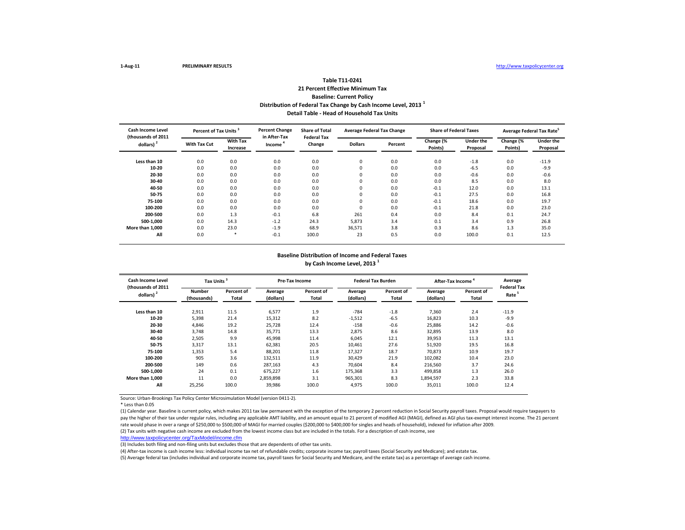# **Distribution of Federal Tax Change by Cash Income Level, 2013 <sup>1</sup> Detail Table - Head of Household Tax Units Table T11-0241 21 Percent Effective Minimum Tax Baseline: Current Policy**

| <b>Cash Income Level</b><br>(thousands of 2011 | Percent of Tax Units <sup>3</sup> |                             | <b>Percent Change</b><br>in After-Tax | <b>Share of Total</b><br><b>Federal Tax</b> | <b>Average Federal Tax Change</b> |         | <b>Share of Federal Taxes</b> |                              |                      | Average Federal Tax Rate <sup>5</sup> |
|------------------------------------------------|-----------------------------------|-----------------------------|---------------------------------------|---------------------------------------------|-----------------------------------|---------|-------------------------------|------------------------------|----------------------|---------------------------------------|
| dollars)                                       | With Tax Cut                      | <b>With Tax</b><br>Increase | Income                                | Change                                      | <b>Dollars</b>                    | Percent | Change (%<br>Points)          | <b>Under the</b><br>Proposal | Change (%<br>Points) | <b>Under the</b><br>Proposal          |
| Less than 10                                   | 0.0                               | 0.0                         | 0.0                                   | 0.0                                         | 0                                 | 0.0     | 0.0                           | $-1.8$                       | 0.0                  | $-11.9$                               |
| 10-20                                          | 0.0                               | 0.0                         | 0.0                                   | 0.0                                         | 0                                 | 0.0     | 0.0                           | $-6.5$                       | 0.0                  | $-9.9$                                |
| 20-30                                          | 0.0                               | 0.0                         | 0.0                                   | 0.0                                         | 0                                 | 0.0     | 0.0                           | $-0.6$                       | 0.0                  | $-0.6$                                |
| 30-40                                          | 0.0                               | 0.0                         | 0.0                                   | 0.0                                         | 0                                 | 0.0     | 0.0                           | 8.5                          | 0.0                  | 8.0                                   |
| 40-50                                          | 0.0                               | 0.0                         | 0.0                                   | 0.0                                         | 0                                 | 0.0     | $-0.1$                        | 12.0                         | 0.0                  | 13.1                                  |
| 50-75                                          | 0.0                               | 0.0                         | 0.0                                   | 0.0                                         | 0                                 | 0.0     | $-0.1$                        | 27.5                         | 0.0                  | 16.8                                  |
| 75-100                                         | 0.0                               | 0.0                         | 0.0                                   | 0.0                                         | 0                                 | 0.0     | $-0.1$                        | 18.6                         | 0.0                  | 19.7                                  |
| 100-200                                        | 0.0                               | 0.0                         | 0.0                                   | 0.0                                         | 0                                 | 0.0     | $-0.1$                        | 21.8                         | 0.0                  | 23.0                                  |
| 200-500                                        | 0.0                               | 1.3                         | $-0.1$                                | 6.8                                         | 261                               | 0.4     | 0.0                           | 8.4                          | 0.1                  | 24.7                                  |
| 500-1.000                                      | 0.0                               | 14.3                        | $-1.2$                                | 24.3                                        | 5.873                             | 3.4     | 0.1                           | 3.4                          | 0.9                  | 26.8                                  |
| More than 1,000                                | 0.0                               | 23.0                        | $-1.9$                                | 68.9                                        | 36,571                            | 3.8     | 0.3                           | 8.6                          | 1.3                  | 35.0                                  |
| All                                            | 0.0                               | *                           | $-0.1$                                | 100.0                                       | 23                                | 0.5     | 0.0                           | 100.0                        | 0.1                  | 12.5                                  |

## **Baseline Distribution of Income and Federal Taxes by Cash Income Level, 2013 <sup>1</sup>**

| Cash Income Level<br>(thousands of 2011 | Tax Units <sup>3</sup>       |                     |                      | <b>Pre-Tax Income</b> |                      | <b>Federal Tax Burden</b> | After-Tax Income     | Average<br><b>Federal Tax</b> |                   |
|-----------------------------------------|------------------------------|---------------------|----------------------|-----------------------|----------------------|---------------------------|----------------------|-------------------------------|-------------------|
| dollars) $2$                            | <b>Number</b><br>(thousands) | Percent of<br>Total | Average<br>(dollars) | Percent of<br>Total   | Average<br>(dollars) | Percent of<br>Total       | Average<br>(dollars) | Percent of<br>Total           | Rate <sup>5</sup> |
| Less than 10                            | 2,911                        | 11.5                | 6,577                | 1.9                   | $-784$               | $-1.8$                    | 7.360                | 2.4                           | $-11.9$           |
| 10-20                                   | 5,398                        | 21.4                | 15,312               | 8.2                   | $-1,512$             | $-6.5$                    | 16,823               | 10.3                          | $-9.9$            |
| 20-30                                   | 4,846                        | 19.2                | 25,728               | 12.4                  | $-158$               | $-0.6$                    | 25,886               | 14.2                          | $-0.6$            |
| 30-40                                   | 3.748                        | 14.8                | 35.771               | 13.3                  | 2,875                | 8.6                       | 32.895               | 13.9                          | 8.0               |
| 40-50                                   | 2.505                        | 9.9                 | 45,998               | 11.4                  | 6.045                | 12.1                      | 39,953               | 11.3                          | 13.1              |
| 50-75                                   | 3,317                        | 13.1                | 62,381               | 20.5                  | 10,461               | 27.6                      | 51,920               | 19.5                          | 16.8              |
| 75-100                                  | 1,353                        | 5.4                 | 88,201               | 11.8                  | 17,327               | 18.7                      | 70,873               | 10.9                          | 19.7              |
| 100-200                                 | 905                          | 3.6                 | 132,511              | 11.9                  | 30,429               | 21.9                      | 102,082              | 10.4                          | 23.0              |
| 200-500                                 | 149                          | 0.6                 | 287,163              | 4.3                   | 70,604               | 8.4                       | 216,560              | 3.7                           | 24.6              |
| 500-1.000                               | 24                           | 0.1                 | 675,227              | 1.6                   | 175,368              | 3.3                       | 499,858              | 1.3                           | 26.0              |
| More than 1.000                         | 11                           | 0.0                 | 2.859.898            | 3.1                   | 965,301              | 8.3                       | 1,894,597            | 2.3                           | 33.8              |
| All                                     | 25,256                       | 100.0               | 39,986               | 100.0                 | 4,975                | 100.0                     | 35,011               | 100.0                         | 12.4              |

Source: Urban-Brookings Tax Policy Center Microsimulation Model (version 0411-2).

\* Less than 0.05

(1) Calendar year. Baseline is current policy, which makes 2011 tax law permanent with the exception of the temporary 2 percent reduction in Social Security payroll taxes. Proposal would require taxpayers to pay the higher of their tax under regular rules, including any applicable AMT liability, and an amount equal to 21 percent of modified AGI (MAGI), defined as AGI plus tax-exempt interest income. The 21 percent rate would phase in over a range of \$250,000 to \$500,000 of MAGI for married couples (\$200,000 to \$400,000 for singles and heads of household), indexed for inflation after 2009. (2) Tax units with negative cash income are excluded from the lowest income class but are included in the totals. For a description of cash income, see

[http://www.taxpolicycente](http://www.taxpolicycenter.org/TaxModel/income.cfm)r.org/TaxModel/income.cfm

(3) Includes both filing and non-filing units but excludes those that are dependents of other tax units.

(4) After-tax income is cash income less: individual income tax net of refundable credits; corporate income tax; payroll taxes (Social Security and Medicare); and estate tax.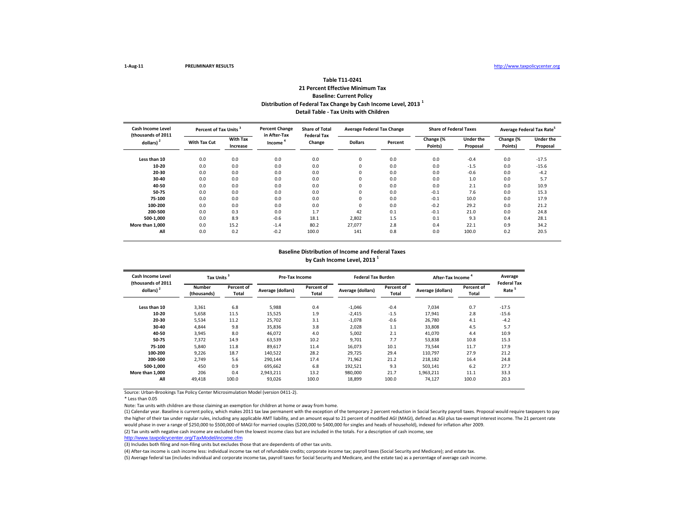## **Distribution of Federal Tax Change by Cash Income Level, 2013 <sup>1</sup> Detail Table - Tax Units with Children Table T11-0241 21 Percent Effective Minimum Tax Baseline: Current Policy**

| <b>Cash Income Level</b>                    | Percent of Tax Units <sup>3</sup> |                             | <b>Percent Change</b><br>in After-Tax | <b>Share of Total</b><br><b>Federal Tax</b> | <b>Average Federal Tax Change</b> |         | <b>Share of Federal Taxes</b> |                              | Average Federal Tax Rate <sup>3</sup> |                              |
|---------------------------------------------|-----------------------------------|-----------------------------|---------------------------------------|---------------------------------------------|-----------------------------------|---------|-------------------------------|------------------------------|---------------------------------------|------------------------------|
| (thousands of 2011<br>dollars) <sup>2</sup> | <b>With Tax Cut</b>               | <b>With Tax</b><br>Increase | Income <sup>4</sup>                   | Change                                      | <b>Dollars</b>                    | Percent | Change (%<br>Points)          | <b>Under the</b><br>Proposal | Change (%<br>Points)                  | <b>Under the</b><br>Proposal |
| Less than 10                                | 0.0                               | 0.0                         | 0.0                                   | 0.0                                         | 0                                 | 0.0     | 0.0                           | $-0.4$                       | 0.0                                   | $-17.5$                      |
| 10-20                                       | 0.0                               | 0.0                         | 0.0                                   | 0.0                                         | 0                                 | 0.0     | 0.0                           | $-1.5$                       | 0.0                                   | $-15.6$                      |
| 20-30                                       | 0.0                               | 0.0                         | 0.0                                   | 0.0                                         | 0                                 | 0.0     | 0.0                           | $-0.6$                       | 0.0                                   | $-4.2$                       |
| 30-40                                       | 0.0                               | 0.0                         | 0.0                                   | 0.0                                         | 0                                 | 0.0     | 0.0                           | 1.0                          | 0.0                                   | 5.7                          |
| 40-50                                       | 0.0                               | 0.0                         | 0.0                                   | 0.0                                         | 0                                 | 0.0     | 0.0                           | 2.1                          | 0.0                                   | 10.9                         |
| 50-75                                       | 0.0                               | 0.0                         | 0.0                                   | 0.0                                         | 0                                 | 0.0     | $-0.1$                        | 7.6                          | 0.0                                   | 15.3                         |
| 75-100                                      | 0.0                               | 0.0                         | 0.0                                   | 0.0                                         | 0                                 | 0.0     | $-0.1$                        | 10.0                         | 0.0                                   | 17.9                         |
| 100-200                                     | 0.0                               | 0.0                         | 0.0                                   | 0.0                                         | 0                                 | 0.0     | $-0.2$                        | 29.2                         | 0.0                                   | 21.2                         |
| 200-500                                     | 0.0                               | 0.3                         | 0.0                                   | 1.7                                         | 42                                | 0.1     | $-0.1$                        | 21.0                         | 0.0                                   | 24.8                         |
| 500-1,000                                   | 0.0                               | 8.9                         | $-0.6$                                | 18.1                                        | 2,802                             | 1.5     | 0.1                           | 9.3                          | 0.4                                   | 28.1                         |
| More than 1.000                             | 0.0                               | 15.2                        | $-1.4$                                | 80.2                                        | 27,077                            | 2.8     | 0.4                           | 22.1                         | 0.9                                   | 34.2                         |
| All                                         | 0.0                               | 0.2                         | $-0.2$                                | 100.0                                       | 141                               | 0.8     | 0.0                           | 100.0                        | 0.2                                   | 20.5                         |

#### **Baseline Distribution of Income and Federal Taxes by Cash Income Level, 2013 <sup>1</sup>**

| <b>Cash Income Level</b><br>(thousands of 2011 | Tax Units <sup>3</sup>       |                     | <b>Pre-Tax Income</b> |                     | <b>Federal Tax Burden</b> |                     | After-Tax Income <sup>4</sup> |                     | Average<br><b>Federal Tax</b> |
|------------------------------------------------|------------------------------|---------------------|-----------------------|---------------------|---------------------------|---------------------|-------------------------------|---------------------|-------------------------------|
| dollars)                                       | <b>Number</b><br>(thousands) | Percent of<br>Total | Average (dollars)     | Percent of<br>Total | Average (dollars)         | Percent of<br>Total | Average (dollars)             | Percent of<br>Total | Rate <sup>5</sup>             |
| Less than 10                                   | 3,361                        | 6.8                 | 5,988                 | 0.4                 | $-1,046$                  | $-0.4$              | 7,034                         | 0.7                 | $-17.5$                       |
| 10-20                                          | 5,658                        | 11.5                | 15,525                | 1.9                 | $-2,415$                  | $-1.5$              | 17,941                        | 2.8                 | $-15.6$                       |
| 20-30                                          | 5.534                        | 11.2                | 25.702                | 3.1                 | $-1,078$                  | $-0.6$              | 26,780                        | 4.1                 | $-4.2$                        |
| 30-40                                          | 4.844                        | 9.8                 | 35,836                | 3.8                 | 2,028                     | 1.1                 | 33,808                        | 4.5                 | 5.7                           |
| 40-50                                          | 3,945                        | 8.0                 | 46,072                | 4.0                 | 5,002                     | 2.1                 | 41,070                        | 4.4                 | 10.9                          |
| 50-75                                          | 7.372                        | 14.9                | 63,539                | 10.2                | 9,701                     | 7.7                 | 53,838                        | 10.8                | 15.3                          |
| 75-100                                         | 5,840                        | 11.8                | 89,617                | 11.4                | 16,073                    | 10.1                | 73,544                        | 11.7                | 17.9                          |
| 100-200                                        | 9,226                        | 18.7                | 140,522               | 28.2                | 29,725                    | 29.4                | 110,797                       | 27.9                | 21.2                          |
| 200-500                                        | 2.749                        | 5.6                 | 290,144               | 17.4                | 71,962                    | 21.2                | 218,182                       | 16.4                | 24.8                          |
| 500-1.000                                      | 450                          | 0.9                 | 695,662               | 6.8                 | 192,521                   | 9.3                 | 503,141                       | 6.2                 | 27.7                          |
| More than 1.000                                | 206                          | 0.4                 | 2,943,211             | 13.2                | 980,000                   | 21.7                | 1,963,211                     | 11.1                | 33.3                          |
| All                                            | 49,418                       | 100.0               | 93,026                | 100.0               | 18,899                    | 100.0               | 74,127                        | 100.0               | 20.3                          |

Source: Urban-Brookings Tax Policy Center Microsimulation Model (version 0411-2).

\* Less than 0.05

Note: Tax units with children are those claiming an exemption for children at home or away from home.

(1) Calendar year. Baseline is current policy, which makes 2011 tax law permanent with the exception of the temporary 2 percent reduction in Social Security payroll taxes. Proposal would require taxpayers to pay the higher of their tax under regular rules, including any applicable AMT liability, and an amount equal to 21 percent of modified AGI (MAGI), defined as AGI plus tax-exempt interest income. The 21 percent rate would phase in over a range of \$250,000 to \$500,000 of MAGI for married couples (\$200,000 to \$400,000 for singles and heads of household), indexed for inflation after 2009. (2) Tax units with negative cash income are excluded from the lowest income class but are included in the totals. For a description of cash income, see

[http://www.taxpolicycente](http://www.taxpolicycenter.org/TaxModel/income.cfm)r.org/TaxModel/income.cfm

(3) Includes both filing and non-filing units but excludes those that are dependents of other tax units.

(4) After-tax income is cash income less: individual income tax net of refundable credits; corporate income tax; payroll taxes (Social Security and Medicare); and estate tax.